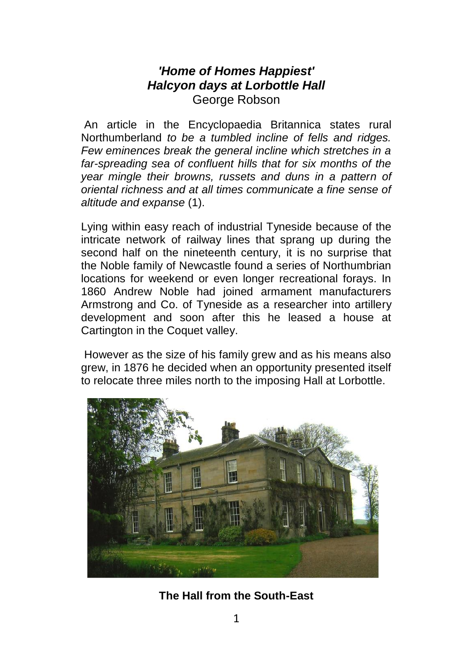## *'Home of Homes Happiest' Halcyon days at Lorbottle Hall* George Robson

An article in the Encyclopaedia Britannica states rural Northumberland *to be a tumbled incline of fells and ridges. Few eminences break the general incline which stretches in a far-spreading sea of confluent hills that for six months of the year mingle their browns, russets and duns in a pattern of oriental richness and at all times communicate a fine sense of altitude and expanse* (1).

Lying within easy reach of industrial Tyneside because of the intricate network of railway lines that sprang up during the second half on the nineteenth century, it is no surprise that the Noble family of Newcastle found a series of Northumbrian locations for weekend or even longer recreational forays. In 1860 Andrew Noble had joined armament manufacturers Armstrong and Co. of Tyneside as a researcher into artillery development and soon after this he leased a house at Cartington in the Coquet valley.

However as the size of his family grew and as his means also grew, in 1876 he decided when an opportunity presented itself to relocate three miles north to the imposing Hall at Lorbottle.



**The Hall from the South-East**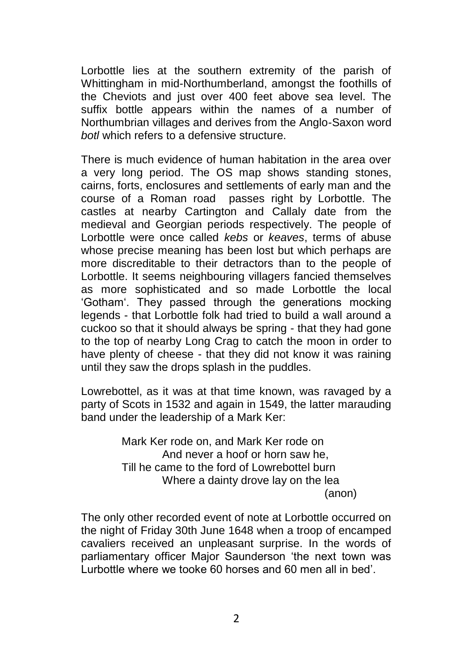Lorbottle lies at the southern extremity of the parish of Whittingham in mid-Northumberland, amongst the foothills of the Cheviots and just over 400 feet above sea level. The suffix bottle appears within the names of a number of Northumbrian villages and derives from the Anglo-Saxon word *botl* which refers to a defensive structure.

There is much evidence of human habitation in the area over a very long period. The OS map shows standing stones, cairns, forts, enclosures and settlements of early man and the course of a Roman road passes right by Lorbottle. The castles at nearby Cartington and Callaly date from the medieval and Georgian periods respectively. The people of Lorbottle were once called *kebs* or *keaves*, terms of abuse whose precise meaning has been lost but which perhaps are more discreditable to their detractors than to the people of Lorbottle. It seems neighbouring villagers fancied themselves as more sophisticated and so made Lorbottle the local 'Gotham'. They passed through the generations mocking legends - that Lorbottle folk had tried to build a wall around a cuckoo so that it should always be spring - that they had gone to the top of nearby Long Crag to catch the moon in order to have plenty of cheese - that they did not know it was raining until they saw the drops splash in the puddles.

Lowrebottel, as it was at that time known, was ravaged by a party of Scots in 1532 and again in 1549, the latter marauding band under the leadership of a Mark Ker:

> Mark Ker rode on, and Mark Ker rode on And never a hoof or horn saw he, Till he came to the ford of Lowrebottel burn Where a dainty drove lay on the lea (anon)

The only other recorded event of note at Lorbottle occurred on the night of Friday 30th June 1648 when a troop of encamped cavaliers received an unpleasant surprise. In the words of parliamentary officer Major Saunderson 'the next town was .<br>Lurbottle where we tooke 60 horses and 60 men all in bed'.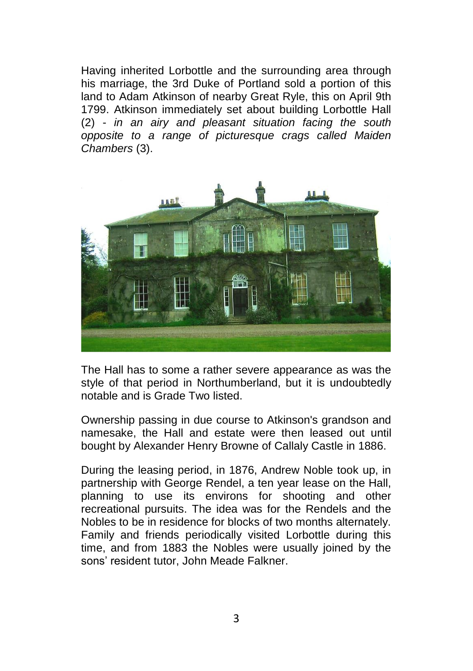Having inherited Lorbottle and the surrounding area through his marriage, the 3rd Duke of Portland sold a portion of this land to Adam Atkinson of nearby Great Ryle, this on April 9th 1799. Atkinson immediately set about building Lorbottle Hall (2) - *in an airy and pleasant situation facing the south opposite to a range of picturesque crags called Maiden Chambers* (3).



The Hall has to some a rather severe appearance as was the style of that period in Northumberland, but it is undoubtedly notable and is Grade Two listed.

Ownership passing in due course to Atkinson's grandson and namesake, the Hall and estate were then leased out until bought by Alexander Henry Browne of Callaly Castle in 1886.

During the leasing period, in 1876, Andrew Noble took up, in partnership with George Rendel, a ten year lease on the Hall, planning to use its environs for shooting and other recreational pursuits. The idea was for the Rendels and the Nobles to be in residence for blocks of two months alternately. Family and friends periodically visited Lorbottle during this time, and from 1883 the Nobles were usually joined by the sons' resident tutor, John Meade Falkner.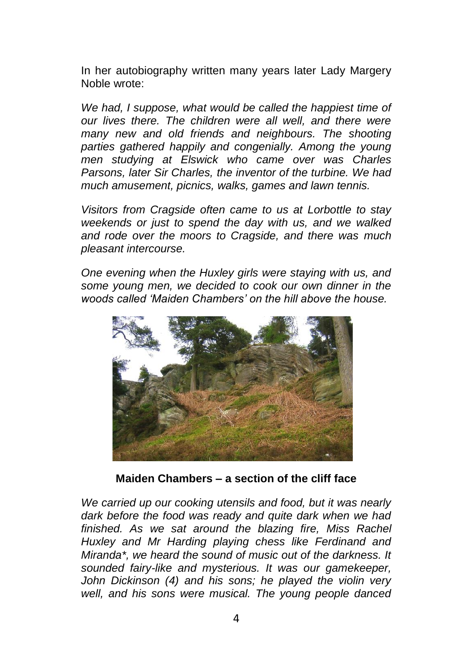In her autobiography written many years later Lady Margery Noble wrote:

*We had, I suppose, what would be called the happiest time of our lives there. The children were all well, and there were many new and old friends and neighbours. The shooting*  parties gathered happily and congenially. Among the young *men studying at Elswick who came over was Charles Parsons, later Sir Charles, the inventor of the turbine. We had much amusement, picnics, walks, games and lawn tennis.* 

*Visitors from Cragside often came to us at Lorbottle to stay weekends or just to spend the day with us, and we walked and rode over the moors to Cragside, and there was much pleasant intercourse.* 

*One evening when the Huxley girls were staying with us, and some young men, we decided to cook our own dinner in the woods called 'Maiden Chambers' on the hill above the house.* 



**Maiden Chambers – a section of the cliff face**

*We carried up our cooking utensils and food, but it was nearly dark before the food was ready and quite dark when we had finished. As we sat around the blazing fire, Miss Rachel Huxley and Mr Harding playing chess like Ferdinand and Miranda\*, we heard the sound of music out of the darkness. It sounded fairy-like and mysterious. It was our gamekeeper, John Dickinson (4) and his sons; he played the violin very well, and his sons were musical. The young people danced*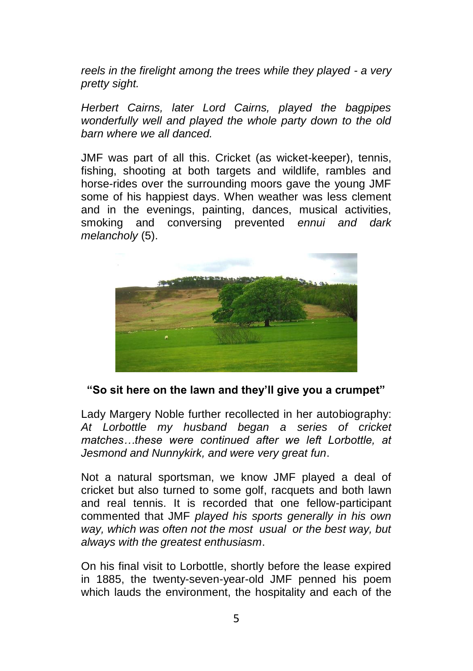*reels in the firelight among the trees while they played - a very pretty sight.* 

*Herbert Cairns, later Lord Cairns, played the bagpipes wonderfully well and played the whole party down to the old barn where we all danced.*

JMF was part of all this. Cricket (as wicket-keeper), tennis, fishing, shooting at both targets and wildlife, rambles and horse-rides over the surrounding moors gave the young JMF some of his happiest days. When weather was less clement and in the evenings, painting, dances, musical activities, smoking and conversing prevented *ennui and dark melancholy* (5).



## **"So sit here on the lawn and they'll give you a crumpet"**

Lady Margery Noble further recollected in her autobiography: *At Lorbottle my husband began a series of cricket matches…these were continued after we left Lorbottle, at Jesmond and Nunnykirk, and were very great fun*.

Not a natural sportsman, we know JMF played a deal of cricket but also turned to some golf, racquets and both lawn and real tennis. It is recorded that one fellow-participant commented that JMF *played his sports generally in his own way, which was often not the most usual or the best way, but always with the greatest enthusiasm*.

On his final visit to Lorbottle, shortly before the lease expired in 1885, the twenty-seven-year-old JMF penned his poem which lauds the environment, the hospitality and each of the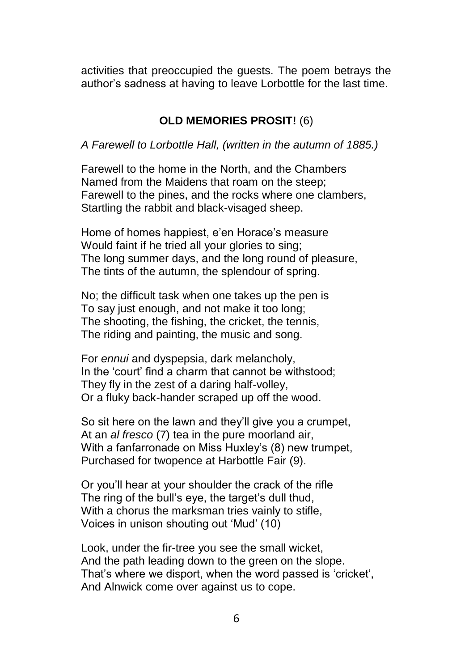activities that preoccupied the guests. The poem betrays the author's sadness at having to leave Lorbottle for the last time.

## **OLD MEMORIES PROSIT!** (6)

*A Farewell to Lorbottle Hall, (written in the autumn of 1885.)*

Farewell to the home in the North, and the Chambers Named from the Maidens that roam on the steep; Farewell to the pines, and the rocks where one clambers, Startling the rabbit and black-visaged sheep.

Home of homes happiest, e'en Horace's measure Would faint if he tried all your glories to sing; The long summer days, and the long round of pleasure, The tints of the autumn, the splendour of spring.

No; the difficult task when one takes up the pen is To say just enough, and not make it too long; The shooting, the fishing, the cricket, the tennis, The riding and painting, the music and song.

For *ennui* and dyspepsia, dark melancholy, In the 'court' find a charm that cannot be withstood; They fly in the zest of a daring half-volley, Or a fluky back-hander scraped up off the wood.

So sit here on the lawn and they'll give you a crumpet. At an *al fresco* (7) tea in the pure moorland air, With a fanfarronade on Miss Huxley's (8) new trumpet, Purchased for twopence at Harbottle Fair (9).

Or you'll hear at your shoulder the crack of the rifle The ring of the bull's eye, the target's dull thud, With a chorus the marksman tries vainly to stifle, Voices in unison shouting out 'Mud' (10)

Look, under the fir-tree you see the small wicket, And the path leading down to the green on the slope. That's where we disport, when the word passed is 'cricket', And Alnwick come over against us to cope.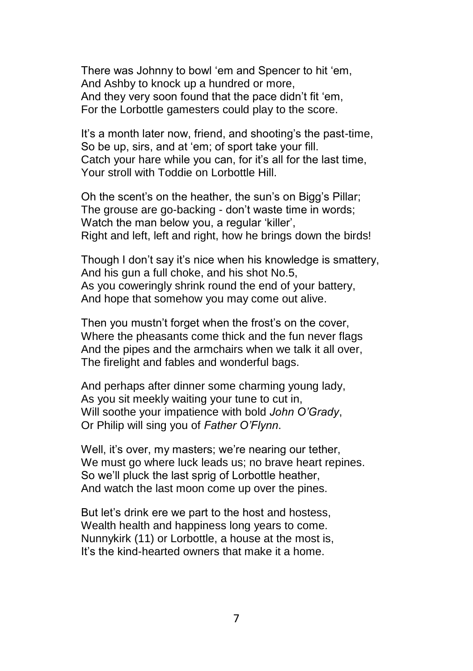There was Johnny to bowl 'em and Spencer to hit 'em, And Ashby to knock up a hundred or more, And they very soon found that the pace didn't fit 'em, For the Lorbottle gamesters could play to the score.

It's a month later now, friend, and shooting's the past-time, So be up, sirs, and at 'em; of sport take your fill. Catch your hare while you can, for it's all for the last time, Your stroll with Toddie on Lorbottle Hill.

Oh the scent's on the heather, the sun's on Bigg's Pillar; The grouse are go-backing - don't waste time in words; Watch the man below you, a regular 'killer', Right and left, left and right, how he brings down the birds!

Though I don't say it's nice when his knowledge is smattery, And his gun a full choke, and his shot No.5, As you coweringly shrink round the end of your battery, And hope that somehow you may come out alive.

Then you mustn't forget when the frost's on the cover, Where the pheasants come thick and the fun never flags And the pipes and the armchairs when we talk it all over, The firelight and fables and wonderful bags.

And perhaps after dinner some charming young lady, As you sit meekly waiting your tune to cut in, Will soothe your impatience with bold *John O'Grady*, Or Philip will sing you of *Father O'Flynn*.

Well, it's over, my masters; we're nearing our tether, We must go where luck leads us; no brave heart repines. So we'll pluck the last sprig of Lorbottle heather, And watch the last moon come up over the pines.

But let's drink ere we part to the host and hostess, Wealth health and happiness long years to come. Nunnykirk (11) or Lorbottle, a house at the most is, It's the kind-hearted owners that make it a home.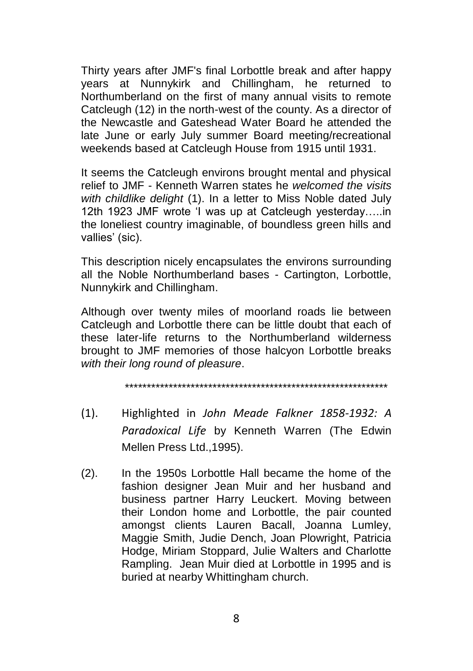Thirty years after JMF's final Lorbottle break and after happy years at Nunnykirk and Chillingham, he returned to Northumberland on the first of many annual visits to remote Catcleugh (12) in the north-west of the county. As a director of the Newcastle and Gateshead Water Board he attended the late June or early July summer Board meeting/recreational weekends based at Catcleugh House from 1915 until 1931.

It seems the Catcleugh environs brought mental and physical relief to JMF - Kenneth Warren states he *welcomed the visits with childlike delight* (1). In a letter to Miss Noble dated July 12th 1923 JMF wrote 'I was up at Catcleugh yesterday…..in the loneliest country imaginable, of boundless green hills and vallies' (sic).

This description nicely encapsulates the environs surrounding all the Noble Northumberland bases - Cartington, Lorbottle, Nunnykirk and Chillingham.

Although over twenty miles of moorland roads lie between Catcleugh and Lorbottle there can be little doubt that each of these later-life returns to the Northumberland wilderness brought to JMF memories of those halcyon Lorbottle breaks *with their long round of pleasure*.

\*\*\*\*\*\*\*\*\*\*\*\*\*\*\*\*\*\*\*\*\*\*\*\*\*\*\*\*\*\*\*\*\*\*\*\*\*\*\*\*\*\*\*\*\*\*\*\*\*\*\*\*\*\*\*\*\*\*\*\*

- (1). Highlighted in *John Meade Falkner 1858-1932: A Paradoxical Life* by Kenneth Warren (The Edwin Mellen Press Ltd.,1995).
- (2). In the 1950s Lorbottle Hall became the home of the fashion designer Jean Muir and her husband and business partner Harry Leuckert. Moving between their London home and Lorbottle, the pair counted amongst clients Lauren Bacall, Joanna Lumley, Maggie Smith, Judie Dench, Joan Plowright, Patricia Hodge, Miriam Stoppard, Julie Walters and Charlotte Rampling. Jean Muir died at Lorbottle in 1995 and is buried at nearby Whittingham church.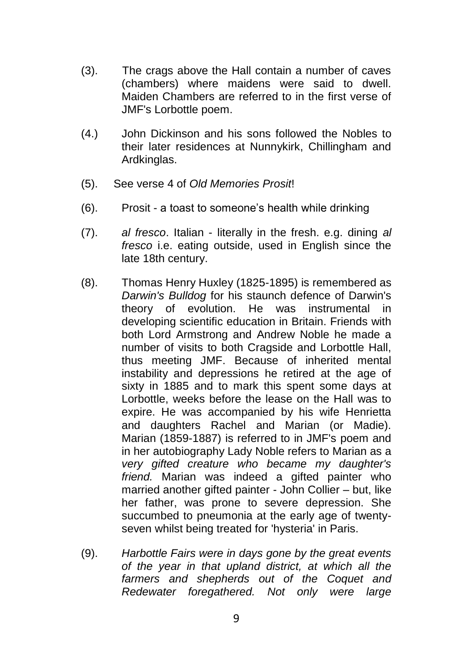- (3). The crags above the Hall contain a number of caves (chambers) where maidens were said to dwell. Maiden Chambers are referred to in the first verse of JMF's Lorbottle poem.
- (4.) John Dickinson and his sons followed the Nobles to their later residences at Nunnykirk, Chillingham and Ardkinglas.
- (5). See verse 4 of *Old Memories Prosit*!
- (6). Prosit a toast to someone's health while drinking
- (7). *al fresco*. Italian literally in the fresh. e.g. dining *al fresco* i.e. eating outside, used in English since the late 18th century.
- (8). Thomas Henry Huxley (1825-1895) is remembered as *Darwin's Bulldog* for his staunch defence of Darwin's theory of evolution. He was instrumental in developing scientific education in Britain. Friends with both Lord Armstrong and Andrew Noble he made a number of visits to both Cragside and Lorbottle Hall, thus meeting JMF. Because of inherited mental instability and depressions he retired at the age of sixty in 1885 and to mark this spent some days at Lorbottle, weeks before the lease on the Hall was to expire. He was accompanied by his wife Henrietta and daughters Rachel and Marian (or Madie). Marian (1859-1887) is referred to in JMF's poem and in her autobiography Lady Noble refers to Marian as a *very gifted creature who became my daughter's friend.* Marian was indeed a gifted painter who married another gifted painter - John Collier – but, like her father, was prone to severe depression. She succumbed to pneumonia at the early age of twentyseven whilst being treated for 'hysteria' in Paris.
- (9). *Harbottle Fairs were in days gone by the great events of the year in that upland district, at which all the farmers and shepherds out of the Coquet and Redewater foregathered. Not only were large*